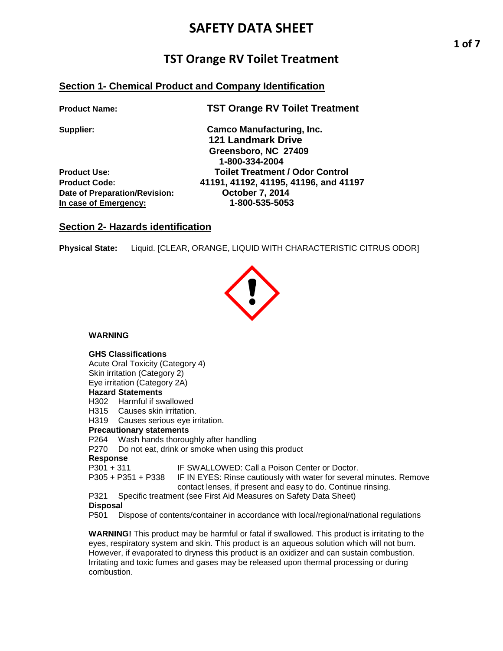## **TST Orange RV Toilet Treatment**

## **Section 1- Chemical Product and Company Identification**

**Product Name: TST Orange RV Toilet Treatment**

Date of Preparation/Revision: **Date of Preparation/Revision:** 0ctober 7, 2014<br>In case of Emergency: 1-800-535-5053 **In case of Emergency:** 

**Supplier: Camco Manufacturing, Inc. 121 Landmark Drive Greensboro, NC 27409 1-800-334-2004 Product Use: Toilet Treatment / Odor Control Product Code: 41191, 41192, 41195, 41196, and 41197**

## **Section 2- Hazards identification**

**Physical State:** Liquid. [CLEAR, ORANGE, LIQUID WITH CHARACTERISTIC CITRUS ODOR]



**WARNING**

## **GHS Classifications**

Acute Oral Toxicity (Category 4) Skin irritation (Category 2) Eye irritation (Category 2A) **Hazard Statements** H302 Harmful if swallowed

H315 Causes skin irritation.

H319 Causes serious eye irritation.

## **Precautionary statements**

P264 Wash hands thoroughly after handling

P270 Do not eat, drink or smoke when using this product

# **Response**

IF SWALLOWED: Call a Poison Center or Doctor.

P305 + P351 + P338 IF IN EYES: Rinse cautiously with water for several minutes. Remove contact lenses, if present and easy to do. Continue rinsing.

P321 Specific treatment (see First Aid Measures on Safety Data Sheet)

**Disposal**<br>P501 D Dispose of contents/container in accordance with local/regional/national regulations

**WARNING!** This product may be harmful or fatal if swallowed. This product is irritating to the eyes, respiratory system and skin. This product is an aqueous solution which will not burn. However, if evaporated to dryness this product is an oxidizer and can sustain combustion. Irritating and toxic fumes and gases may be released upon thermal processing or during combustion.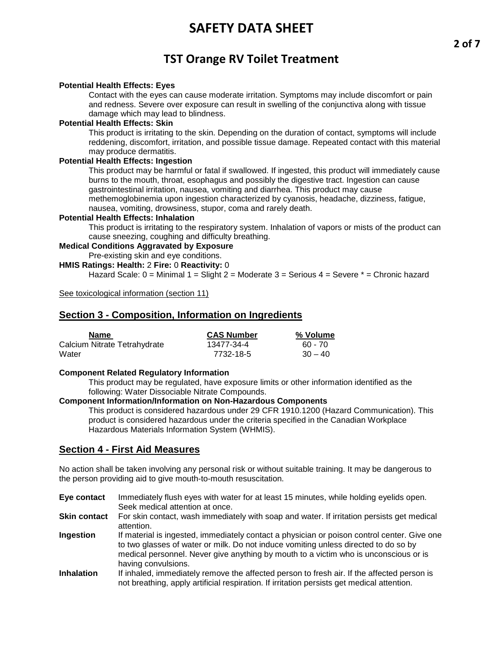## **TST Orange RV Toilet Treatment**

### **Potential Health Effects: Eyes**

Contact with the eyes can cause moderate irritation. Symptoms may include discomfort or pain and redness. Severe over exposure can result in swelling of the conjunctiva along with tissue damage which may lead to blindness.

### **Potential Health Effects: Skin**

This product is irritating to the skin. Depending on the duration of contact, symptoms will include reddening, discomfort, irritation, and possible tissue damage. Repeated contact with this material may produce dermatitis.

## **Potential Health Effects: Ingestion**

This product may be harmful or fatal if swallowed. If ingested, this product will immediately cause burns to the mouth, throat, esophagus and possibly the digestive tract. Ingestion can cause gastrointestinal irritation, nausea, vomiting and diarrhea. This product may cause methemoglobinemia upon ingestion characterized by cyanosis, headache, dizziness, fatigue,

nausea, vomiting, drowsiness, stupor, coma and rarely death.

## **Potential Health Effects: Inhalation**

This product is irritating to the respiratory system. Inhalation of vapors or mists of the product can cause sneezing, coughing and difficulty breathing.

#### **Medical Conditions Aggravated by Exposure**

Pre-existing skin and eye conditions.

**HMIS Ratings: Health:** 2 **Fire:** 0 **Reactivity:** 0

Hazard Scale: 0 = Minimal 1 = Slight 2 = Moderate 3 = Serious 4 = Severe \* = Chronic hazard

See toxicological information (section 11)

## **Section 3 - Composition, Information on Ingredients**

| <b>Name</b>                  | <b>CAS Number</b> | % Volume  |
|------------------------------|-------------------|-----------|
| Calcium Nitrate Tetrahydrate | 13477-34-4        | 60 - 70   |
| Water                        | 7732-18-5         | $30 - 40$ |

### **Component Related Regulatory Information**

This product may be regulated, have exposure limits or other information identified as the following: Water Dissociable Nitrate Compounds.

### **Component Information/Information on Non-Hazardous Components**

This product is considered hazardous under 29 CFR 1910.1200 (Hazard Communication). This product is considered hazardous under the criteria specified in the Canadian Workplace Hazardous Materials Information System (WHMIS).

## **Section 4 - First Aid Measures**

No action shall be taken involving any personal risk or without suitable training. It may be dangerous to the person providing aid to give mouth-to-mouth resuscitation.

- **Eye contact** Immediately flush eyes with water for at least 15 minutes, while holding eyelids open. Seek medical attention at once.
- **Skin contact** For skin contact, wash immediately with soap and water. If irritation persists get medical attention.
- **Ingestion** If material is ingested, immediately contact a physician or poison control center. Give one to two glasses of water or milk. Do not induce vomiting unless directed to do so by medical personnel. Never give anything by mouth to a victim who is unconscious or is having convulsions.
- **Inhalation** If inhaled, immediately remove the affected person to fresh air. If the affected person is not breathing, apply artificial respiration. If irritation persists get medical attention.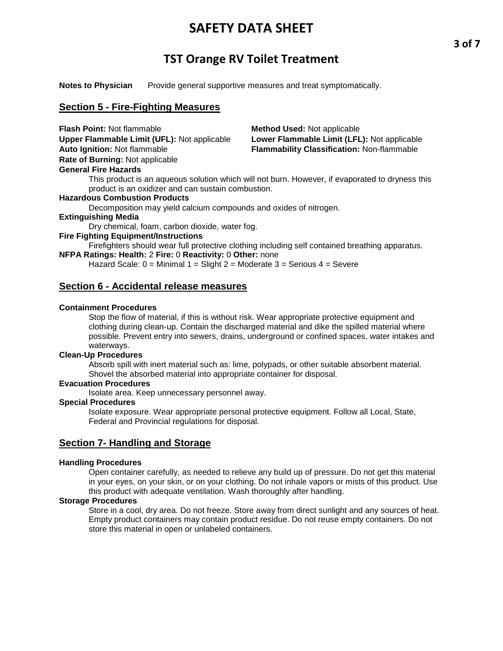## **TST Orange RV Toilet Treatment**

**Notes to Physician** Provide general supportive measures and treat symptomatically.

## **Section 5 - Fire-Fighting Measures**

| <b>Flash Point: Not flammable</b>           | <b>Method Used: Not applicable</b>                                                              |
|---------------------------------------------|-------------------------------------------------------------------------------------------------|
| Upper Flammable Limit (UFL): Not applicable | Lower Flammable Limit (LFL): Not applicable                                                     |
| <b>Auto Ignition: Not flammable</b>         | Flammability Classification: Non-flammable                                                      |
| Rate of Burning: Not applicable             |                                                                                                 |
| <b>General Fire Hazards</b>                 |                                                                                                 |
|                                             | This product is an aqueous solution which will not burn. However, if evaporated to dryness this |

product is an oxidizer and can sustain combustion.

#### **Hazardous Combustion Products**

Decomposition may yield calcium compounds and oxides of nitrogen.

## **Extinguishing Media**

Dry chemical, foam, carbon dioxide, water fog.

## **Fire Fighting Equipment/Instructions**

Firefighters should wear full protective clothing including self contained breathing apparatus.

**NFPA Ratings: Health:** 2 **Fire:** 0 **Reactivity:** 0 **Other:** none

Hazard Scale:  $0 =$  Minimal  $1 =$  Slight  $2 =$  Moderate  $3 =$  Serious  $4 =$  Severe

## **Section 6 - Accidental release measures**

### **Containment Procedures**

Stop the flow of material, if this is without risk. Wear appropriate protective equipment and clothing during clean-up. Contain the discharged material and dike the spilled material where possible. Prevent entry into sewers, drains, underground or confined spaces, water intakes and waterways.

## **Clean-Up Procedures**

Absorb spill with inert material such as: lime, polypads, or other suitable absorbent material. Shovel the absorbed material into appropriate container for disposal.

## **Evacuation Procedures**

Isolate area. Keep unnecessary personnel away.

## **Special Procedures**

Isolate exposure. Wear appropriate personal protective equipment. Follow all Local, State, Federal and Provincial regulations for disposal.

## **Section 7- Handling and Storage**

### **Handling Procedures**

Open container carefully, as needed to relieve any build up of pressure. Do not get this material in your eyes, on your skin, or on your clothing. Do not inhale vapors or mists of this product. Use this product with adequate ventilation. Wash thoroughly after handling.

### **Storage Procedures**

Store in a cool, dry area. Do not freeze. Store away from direct sunlight and any sources of heat. Empty product containers may contain product residue. Do not reuse empty containers. Do not store this material in open or unlabeled containers.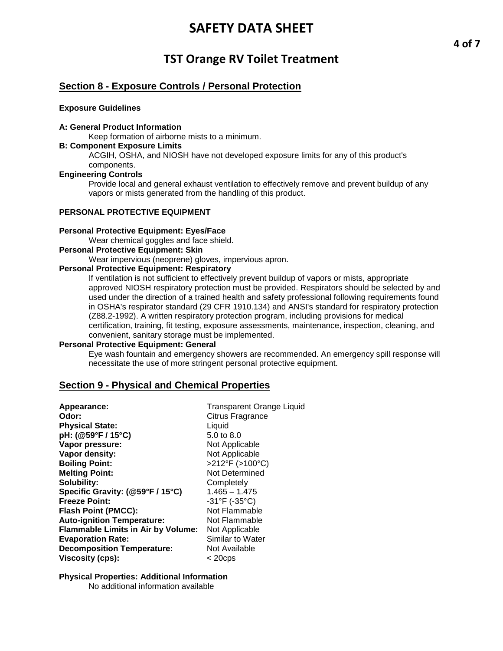## **TST Orange RV Toilet Treatment**

## **Section 8 - Exposure Controls / Personal Protection**

#### **Exposure Guidelines**

## **A: General Product Information**

Keep formation of airborne mists to a minimum.

## **B: Component Exposure Limits**

ACGIH, OSHA, and NIOSH have not developed exposure limits for any of this product's components.

### **Engineering Controls**

Provide local and general exhaust ventilation to effectively remove and prevent buildup of any vapors or mists generated from the handling of this product.

## **PERSONAL PROTECTIVE EQUIPMENT**

#### **Personal Protective Equipment: Eyes/Face**

Wear chemical goggles and face shield.

#### **Personal Protective Equipment: Skin**

Wear impervious (neoprene) gloves, impervious apron.

### **Personal Protective Equipment: Respiratory**

If ventilation is not sufficient to effectively prevent buildup of vapors or mists, appropriate approved NIOSH respiratory protection must be provided. Respirators should be selected by and used under the direction of a trained health and safety professional following requirements found in OSHA's respirator standard (29 CFR 1910.134) and ANSI's standard for respiratory protection (Z88.2-1992). A written respiratory protection program, including provisions for medical certification, training, fit testing, exposure assessments, maintenance, inspection, cleaning, and convenient, sanitary storage must be implemented.

### **Personal Protective Equipment: General**

Eye wash fountain and emergency showers are recommended. An emergency spill response will necessitate the use of more stringent personal protective equipment.

## **Section 9 - Physical and Chemical Properties**

| Appearance:                               | <b>Transparent Orange Liquid</b> |
|-------------------------------------------|----------------------------------|
| Odor:                                     | Citrus Fragrance                 |
| <b>Physical State:</b>                    | Liquid                           |
| pH: (@59°F / 15°C)                        | 5.0 to 8.0                       |
| Vapor pressure:                           | Not Applicable                   |
| Vapor density:                            | Not Applicable                   |
| <b>Boiling Point:</b>                     | >212°F (>100°C)                  |
| <b>Melting Point:</b>                     | Not Determined                   |
| Solubility:                               | Completely                       |
| Specific Gravity: (@59°F / 15°C)          | $1.465 - 1.475$                  |
| <b>Freeze Point:</b>                      | $-31^{\circ}F$ (-35°C)           |
| <b>Flash Point (PMCC):</b>                | Not Flammable                    |
| <b>Auto-ignition Temperature:</b>         | Not Flammable                    |
| <b>Flammable Limits in Air by Volume:</b> | Not Applicable                   |
| <b>Evaporation Rate:</b>                  | Similar to Water                 |
| <b>Decomposition Temperature:</b>         | Not Available                    |
| <b>Viscosity (cps):</b>                   | $<$ 20cps                        |

### **Physical Properties: Additional Information**

No additional information available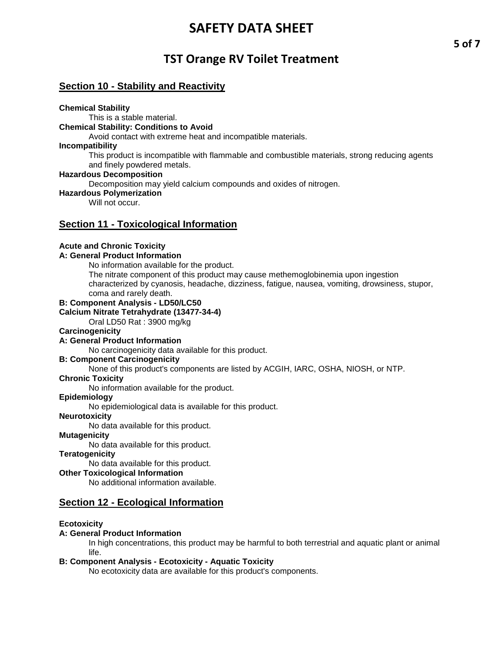## **TST Orange RV Toilet Treatment**

## **Section 10 - Stability and Reactivity**

### **Chemical Stability**

This is a stable material.

## **Chemical Stability: Conditions to Avoid**

Avoid contact with extreme heat and incompatible materials.

## **Incompatibility**

This product is incompatible with flammable and combustible materials, strong reducing agents and finely powdered metals.

### **Hazardous Decomposition**

Decomposition may yield calcium compounds and oxides of nitrogen.

### **Hazardous Polymerization**

Will not occur

## **Section 11 - Toxicological Information**

## **Acute and Chronic Toxicity**

## **A: General Product Information**

No information available for the product. The nitrate component of this product may cause methemoglobinemia upon ingestion

characterized by cyanosis, headache, dizziness, fatigue, nausea, vomiting, drowsiness, stupor, coma and rarely death.

## **B: Component Analysis - LD50/LC50**

**Calcium Nitrate Tetrahydrate (13477-34-4)** 

Oral LD50 Rat : 3900 mg/kg

### **Carcinogenicity**

## **A: General Product Information**

No carcinogenicity data available for this product.

### **B: Component Carcinogenicity**

None of this product's components are listed by ACGIH, IARC, OSHA, NIOSH, or NTP.

## **Chronic Toxicity**

No information available for the product.

## **Epidemiology**

No epidemiological data is available for this product.

### **Neurotoxicity**

No data available for this product.

### **Mutagenicity**

No data available for this product.

## **Teratogenicity**

No data available for this product.

## **Other Toxicological Information**

No additional information available.

## **Section 12 - Ecological Information**

### **Ecotoxicity**

## **A: General Product Information**

In high concentrations, this product may be harmful to both terrestrial and aquatic plant or animal life.

## **B: Component Analysis - Ecotoxicity - Aquatic Toxicity**

No ecotoxicity data are available for this product's components.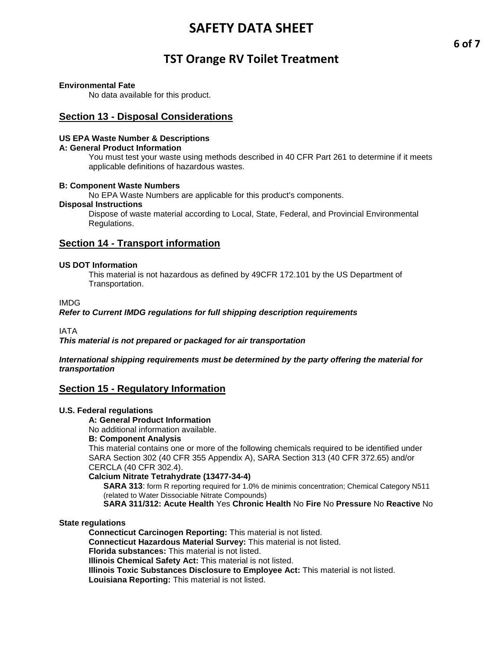## **TST Orange RV Toilet Treatment**

### **Environmental Fate**

No data available for this product.

## **Section 13 - Disposal Considerations**

#### **US EPA Waste Number & Descriptions**

#### **A: General Product Information**

You must test your waste using methods described in 40 CFR Part 261 to determine if it meets applicable definitions of hazardous wastes.

#### **B: Component Waste Numbers**

No EPA Waste Numbers are applicable for this product's components.

#### **Disposal Instructions**

Dispose of waste material according to Local, State, Federal, and Provincial Environmental Regulations.

## **Section 14 - Transport information**

#### **US DOT Information**

This material is not hazardous as defined by 49CFR 172.101 by the US Department of Transportation.

## IMDG

#### *Refer to Current IMDG regulations for full shipping description requirements*

IATA

*This material is not prepared or packaged for air transportation*

#### *International shipping requirements must be determined by the party offering the material for transportation*

## **Section 15 - Regulatory Information**

### **U.S. Federal regulations**

**A: General Product Information** 

No additional information available.

### **B: Component Analysis**

This material contains one or more of the following chemicals required to be identified under SARA Section 302 (40 CFR 355 Appendix A), SARA Section 313 (40 CFR 372.65) and/or CERCLA (40 CFR 302.4).

#### **Calcium Nitrate Tetrahydrate (13477-34-4)**

**SARA 313**: form R reporting required for 1.0% de minimis concentration; Chemical Category N511 (related to Water Dissociable Nitrate Compounds)

**SARA 311/312: Acute Health** Yes **Chronic Health** No **Fire** No **Pressure** No **Reactive** No

#### **State regulations**

**Connecticut Carcinogen Reporting:** This material is not listed. **Connecticut Hazardous Material Survey:** This material is not listed. **Florida substances:** This material is not listed. **Illinois Chemical Safety Act:** This material is not listed.

**Illinois Toxic Substances Disclosure to Employee Act:** This material is not listed.

**Louisiana Reporting:** This material is not listed.